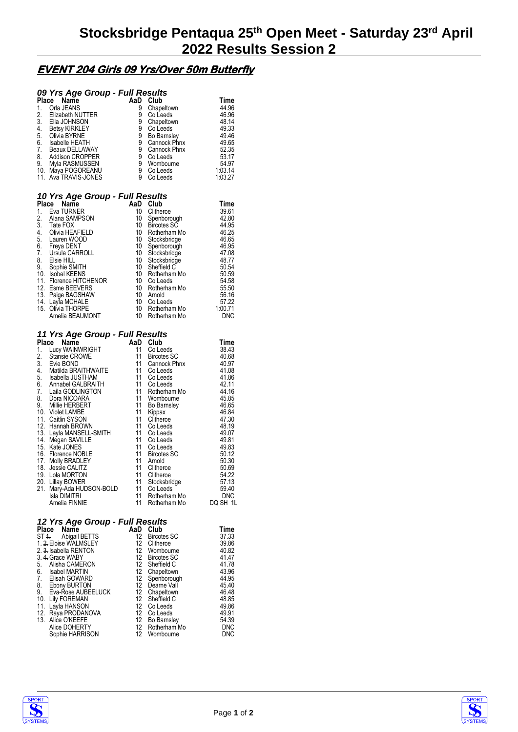# **EVENT 204 Girls 09 Yrs/Over 50m Butterfly**

# *09 Yrs Age Group - Full Results*

| Place            | Name                                                                                                                 | AaD                                                              | Club                                               | Time                  |
|------------------|----------------------------------------------------------------------------------------------------------------------|------------------------------------------------------------------|----------------------------------------------------|-----------------------|
| 1.               | Orla JEANS                                                                                                           | 9<br>9                                                           | Chapeltown                                         | 44.96                 |
| 2.               | Elizabeth NUTTER                                                                                                     |                                                                  | Co Leeds                                           | 46.96                 |
|                  | 2. LIALOHNSON<br>1. Betsy KIRKLEY<br>5. Olivia BYRNE<br>6. Isabelle HEATH<br>7. Beaux DELLAWAY<br>7. Madison CROPPER | ğ.                                                               | Chapeltown                                         | 48.14                 |
|                  |                                                                                                                      | ġ.                                                               | Co Leeds                                           | 49.33                 |
|                  |                                                                                                                      | ğ,                                                               | Bo Barnsley                                        | 49.46                 |
|                  |                                                                                                                      | ğ                                                                | Cannock Phnx                                       | 49.65                 |
|                  |                                                                                                                      |                                                                  | Cannock Phnx                                       | 52.35                 |
|                  |                                                                                                                      | 9<br>9                                                           | Co Leeds                                           | 53.17                 |
|                  | 8. Addison CROPPER<br>9. Myla RASMUSSEN                                                                              | $\tilde{9}$                                                      | Wombourne                                          |                       |
|                  | 10. Maya POGOREANU                                                                                                   | 9                                                                | Co Leeds                                           | $04.51$<br>1.03.14    |
|                  | 11. Ava TRAVIS-JONES                                                                                                 | 9                                                                | Co Leeds                                           | 1:03.27               |
|                  | 10 Yrs Age Group - Full Results                                                                                      |                                                                  |                                                    |                       |
|                  | Place<br>Name                                                                                                        |                                                                  | AaD Club                                           | Time                  |
|                  | 1. Eva TURNER                                                                                                        | 10 <sup>1</sup>                                                  | Clitheroe                                          | 39.61                 |
| 2.               | Alana SAMPSON                                                                                                        | 10 <sup>1</sup>                                                  | Spenborough                                        | 42.80                 |
| $\overline{3}$ . | Tate FOX                                                                                                             | $10-10$                                                          | Bircotes SC                                        | 44.95                 |
|                  | 4. Olivia HEAFIELD                                                                                                   | 10                                                               | Rotherham Mo                                       | 46.25                 |
|                  |                                                                                                                      | 10 <sup>1</sup>                                                  | Stocksbridge                                       | 46.65                 |
|                  |                                                                                                                      | 10                                                               | Spenborough                                        | 46.95                 |
|                  |                                                                                                                      | 10 <sup>1</sup>                                                  | Stocksbridge                                       | 47.08                 |
|                  | 5. Lauren WOOD<br>6. Freya DENT<br>7. Ursula CARROLL<br>8. Elsie HILL                                                | 10                                                               | Stocksbridge                                       | 48.77                 |
|                  | 9. Sophie SMITH<br>10. Isobel KEENS                                                                                  |                                                                  | Sheffield C                                        | 50.54                 |
|                  |                                                                                                                      |                                                                  | Rotherham Mo                                       | 50.59                 |
|                  | 11. Florence HITCHENOR<br>12. Esme BEEVERS                                                                           | $\begin{bmatrix} 10 \\ 10 \\ 10 \\ 10 \\ 10 \\ 10 \end{bmatrix}$ | Co Leeds                                           | 54.58                 |
|                  |                                                                                                                      |                                                                  | Rotherham Mo                                       | 55.50                 |
|                  | 13. Paige BAGSHAW                                                                                                    |                                                                  | Arnold                                             | 56.16                 |
|                  | 14. Layla MCHALE                                                                                                     | 10                                                               | Co Leeds                                           | 57.22                 |
|                  | 15. Olivia THORPE                                                                                                    | 10                                                               | Rotherham Mo                                       | 1:00.71               |
|                  | <b>Crivia THORPE<br/>Amelia BEAUMONT</b>                                                                             | 10                                                               | Rotherham Mo                                       | <b>DNC</b>            |
|                  | 11 Yrs Age Group - Full Results                                                                                      |                                                                  |                                                    |                       |
|                  | Place Name                                                                                                           | AaD Club                                                         |                                                    | Time                  |
| 1.               | Lucy WAINWRIGHT                                                                                                      | 11                                                               | Co Leeds                                           | 38.43                 |
|                  | 2. Stansie CR<br>Stansie CROWE                                                                                       | 11                                                               | <b>Bircotes SC</b>                                 | 40.68                 |
|                  |                                                                                                                      | 11                                                               | Cannock Phnx                                       | 40.97                 |
|                  | 3. Matilda BRAITHWAITE<br>5. Isabella JUSTHAM<br>6. Annabel GALBRAITH<br>7. Laila GODLINGTON                         | 11                                                               | Co Leeds                                           | 41.08                 |
|                  |                                                                                                                      | 11                                                               | Co Leeds                                           | 41.86                 |
|                  |                                                                                                                      | 11                                                               | Co Leeds                                           | 42.11                 |
|                  |                                                                                                                      | 11                                                               | Rotherham Mo                                       | 44.16                 |
|                  | 8. Dora NICOARA<br>9. Millie HERBERT                                                                                 | 11                                                               | Wombourne                                          | 45.85                 |
|                  |                                                                                                                      | 11                                                               | <b>Bo Barnsley</b>                                 | 46.65                 |
|                  | 10. Violet LAMBE                                                                                                     | 11<br>11                                                         | Kippax                                             | 46.84                 |
|                  | 11. Caitlin SYSON                                                                                                    | 11                                                               | Clitheroe                                          | 47.30                 |
|                  | 12. Hannah BROWN                                                                                                     | 11                                                               | Co Leeds                                           | 48.19                 |
|                  | 13. Layla MANSELL-SMITH<br>14. Megan SAVILLE<br>14. Megan SAVILLE                                                    | 11                                                               | Co Leeds<br>Co Leeds                               | 49.07                 |
|                  | 15. Kate JONES                                                                                                       | 11                                                               |                                                    | 49.81<br>49.83        |
|                  |                                                                                                                      | $-11$                                                            | Co Leeds<br><b>Bircotes SC</b>                     | 50.12                 |
|                  | 16. Florence NOBLE<br>17. Molly BRADLEY                                                                              | 11                                                               | Arnold                                             | 50.30                 |
|                  | 18. Jessie CALITZ                                                                                                    | 11                                                               | Clitheroe                                          | 50.69                 |
|                  | 19. Lola MORTON                                                                                                      | 11                                                               |                                                    | 54.22                 |
|                  |                                                                                                                      |                                                                  |                                                    | 57.13                 |
|                  | 20. Lillay BOWER<br>21. Mary-Ada HUDSON-BOLD 11<br>11 Lisla DIMITRI                                                  |                                                                  |                                                    | 59.40                 |
|                  | <b>Isla DIMITRI</b>                                                                                                  | 11                                                               | Citics<br>Stocksbridge<br>Citicads<br>Rotherham Mo | <b>DNC</b>            |
|                  | Amelia FINNIE                                                                                                        | 11                                                               |                                                    | Rotherham Mo DQ SH 1L |
|                  |                                                                                                                      |                                                                  |                                                    |                       |
|                  |                                                                                                                      |                                                                  |                                                    |                       |

### *12 Yrs Age Group - Full Results*

|                 | AaD                                                                                                                                                                                                                                                                                                                  | Club               | Time                                                                                                                                                                                                     |
|-----------------|----------------------------------------------------------------------------------------------------------------------------------------------------------------------------------------------------------------------------------------------------------------------------------------------------------------------|--------------------|----------------------------------------------------------------------------------------------------------------------------------------------------------------------------------------------------------|
|                 |                                                                                                                                                                                                                                                                                                                      | <b>Bircotes SC</b> | 37.33                                                                                                                                                                                                    |
|                 | 12                                                                                                                                                                                                                                                                                                                   | Clitheroe          | 39.86                                                                                                                                                                                                    |
|                 |                                                                                                                                                                                                                                                                                                                      |                    | 40.82                                                                                                                                                                                                    |
|                 |                                                                                                                                                                                                                                                                                                                      |                    | 41.47                                                                                                                                                                                                    |
|                 |                                                                                                                                                                                                                                                                                                                      |                    | 41.78                                                                                                                                                                                                    |
|                 |                                                                                                                                                                                                                                                                                                                      |                    | 43.96                                                                                                                                                                                                    |
|                 |                                                                                                                                                                                                                                                                                                                      |                    | 44.95                                                                                                                                                                                                    |
|                 |                                                                                                                                                                                                                                                                                                                      |                    | 45.40                                                                                                                                                                                                    |
|                 |                                                                                                                                                                                                                                                                                                                      |                    | 46.48                                                                                                                                                                                                    |
|                 |                                                                                                                                                                                                                                                                                                                      |                    | 48.85                                                                                                                                                                                                    |
|                 |                                                                                                                                                                                                                                                                                                                      |                    | 49.86                                                                                                                                                                                                    |
|                 |                                                                                                                                                                                                                                                                                                                      | Co Leeds           | 49.91                                                                                                                                                                                                    |
|                 |                                                                                                                                                                                                                                                                                                                      |                    | 54.39                                                                                                                                                                                                    |
|                 |                                                                                                                                                                                                                                                                                                                      |                    | <b>DNC</b>                                                                                                                                                                                               |
| Sophie HARRISON | 12                                                                                                                                                                                                                                                                                                                   | Wombourne          | <b>DNC</b>                                                                                                                                                                                               |
|                 | Place Name<br>ST <sub>1</sub> . Abigail BETTS<br>1. 2. Eloise WALMSLEY<br>2. 3. Isabella RENTON<br>3. 4. Grace WABY<br>Alisha CAMERON<br>Isabel MARTIN<br>7. Elisah GOWARD<br>Ebony BURTON<br>Eva-Rose AUBEELUCK<br>10. Lily FOREMAN<br>11. Layla HANSON<br>12. Raya PRODANOVA<br>13. Alice O'KEEFE<br>Alice DOHERTY |                    | 12<br>12 Wombourne<br>12 Bircotes SC<br>12 Sheffield C<br>12 Chapeltown<br>12 Spenborough<br>12 Dearne Vall<br>12 Chapeltown<br>12 Sheffield C<br>12 Co Leeds<br>12<br>12 Bo Barnsley<br>12 Rotherham Mo |